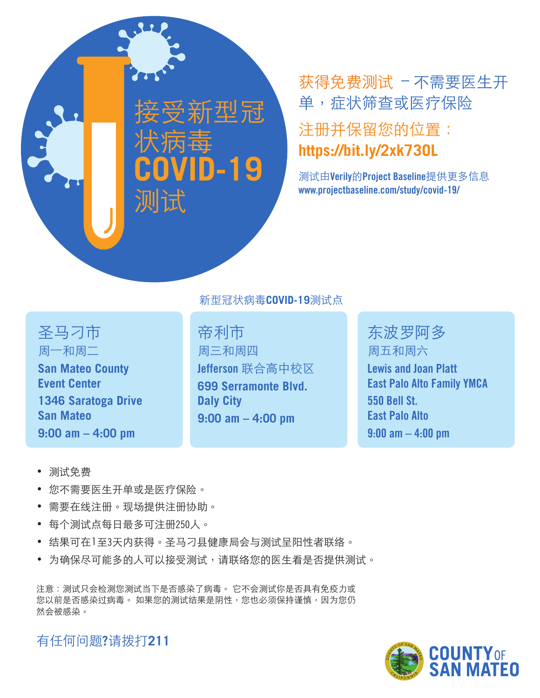# 接受新型冠 状病毒 **COVID-19** 测试

## 获得免费测试 – 不需要医生开 单,症状筛查或医疗保险

#### 注册并保留您的位置: **https://bit.ly/2xk73OL**

测试由**Verily**的**Project Baseline**提供更多信息 **www.projectbaseline.com/study/covid-19/**

圣马刁市 周一和周二 **San Mateo County Event Center 1346 Saratoga Drive San Mateo 9:00 am – 4:00 pm**

#### 新型冠状病毒**COVID-19**测试点

帝利市 周三和周四 **Jefferson** 联合高中校区 **699 Serramonte Blvd. Daly City 9:00 am – 4:00 pm**

东波罗阿多 周五和周六 **Lewis and Joan Platt East Palo Alto Family YMCA 550 Bell St. East Palo Alto 9:00 am – 4:00 pm**

- 测试免费
- 您不需要医生开单或是医疗保险。
- 需要在线注册。现场提供注册协助。
- 每个测试点每日最多可注册250人。
- 结果可在1至3天内获得。圣马刁县健康局会与测试呈阳性者联络。
- 为确保尽可能多的人可以接受测试,请联络您的医生看是否提供测试。

注意:测试只会检测您测试当下是否感染了病毒。 它不会测试你是否具有免疫力或 您以前是否感染过病毒。 如果您的测试结果是阴性,您也必须保持谨慎,因为您仍 然会被感染。

COUNTY<sub>OF</sub><br>SAN MATFO

有任何问题**?**请拨打**211**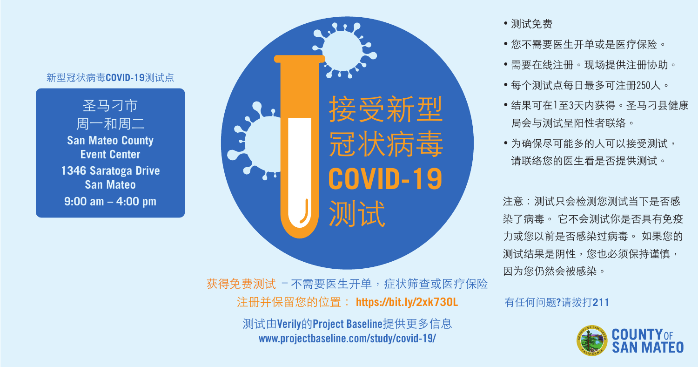接受新型 冠状病毒 **COVID-19** 测试 获得免费测试 – 不需要医生开单,症状筛查或医疗保险 注册并保留您的位置: **https://bit.ly/2xk73OL** 测试由**Verily**的**Project Baseline**提供更多信息

**www.projectbaseline.com/study/covid-19/**

圣马刁市 周一和周二 **San Mateo County Event Center 1346 Saratoga Drive San Mateo 9:00 am – 4:00 pm**

• 测试免费

• 您不需要医生开单或是医疗保险。

• 需要在线注册。现场提供注册协助。

• 每个测试点每日最多可注册250人。

• 结果可在1至3天内获得。圣马刁县健康 局会与测试呈阳性者联络。

• 为确保尽可能多的人可以接受测试, 请联络您的医生看是否提供测试。

有任何问题**?**请拨打**211**



注意:测试只会检测您测试当下是否感 染了病毒。 它不会测试你是否具有免疫 力或您以前是否感染过病毒。 如果您的 测试结果是阴性,您也必须保持谨慎, 因为您仍然会被感染。

### 新型冠状病毒**COVID-19**测试点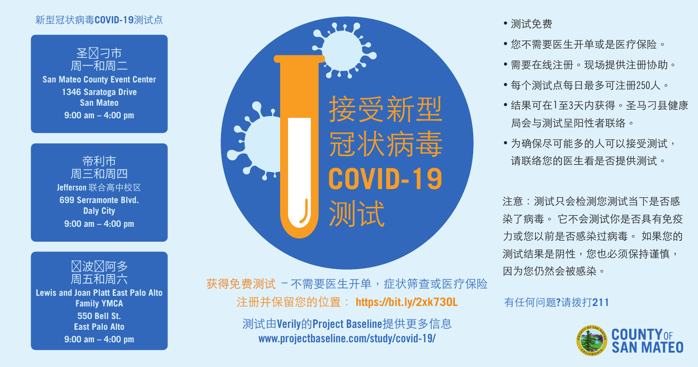接受新型 冠状病毒 **COVID-19** 测试 获得免费测试 – 不需要医生开单,症状筛查或医疗保险 注册并保留您的位置: **https://bit.ly/2xk73OL**

> 测试由**Verily**的**Project Baseline**提供更多信息 **www.projectbaseline.com/study/covid-19/**

#### • 测试免费

• 您不需要医生开单或是医疗保险。 • 需要在线注册。现场提供注册协助。 • 每个测试点每日最多可注册250人。 • 结果可在1至3天内获得。圣马刁县健康 局会与测试呈阳性者联络。

• 为确保尽可能多的人可以接受测试, 请联络您的医生看是否提供测试。

有任何问题**?**请拨打**211**



注意:测试只会检测您测试当下是否感 染了病毒。 它不会测试你是否具有免疫 力或您以前是否感染过病毒。 如果您的 测试结果是阴性,您也必须保持谨慎, 因为您仍然会被感染。

### 新型冠状病毒**COVID-19**测试点



**San Mateo County Event Center 1346 Saratoga Drive San Mateo 9:00 am – 4:00 pm**





**Lewis and Joan Platt East Palo Alto Family YMCA 550 Bell St. East Palo Alto 9:00 am – 4:00 pm**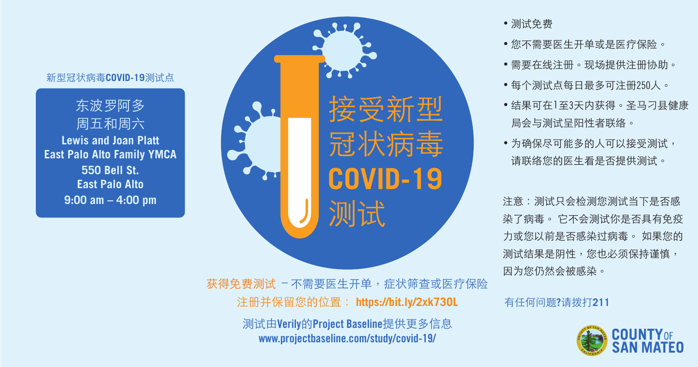接受新型 冠状病毒 **COVID-19** 测试 获得免费测试 – 不需要医生开单,症状筛查或医疗保险 注册并保留您的位置: **https://bit.ly/2xk73OL** 测试由**Verily**的**Project Baseline**提供更多信息

**www.projectbaseline.com/study/covid-19/**

东波罗阿多 周五和周六 **Lewis and Joan Platt East Palo Alto Family YMCA 550 Bell St. East Palo Alto 9:00 am – 4:00 pm**

• 测试免费

• 您不需要医生开单或是医疗保险。

• 需要在线注册。现场提供注册协助。

• 每个测试点每日最多可注册250人。

• 结果可在1至3天内获得。圣马刁县健康 局会与测试呈阳性者联络。

• 为确保尽可能多的人可以接受测试, 请联络您的医生看是否提供测试。

有任何问题**?**请拨打**211**



注意:测试只会检测您测试当下是否感 染了病毒。 它不会测试你是否具有免疫 力或您以前是否感染过病毒。 如果您的 测试结果是阴性,您也必须保持谨慎, 因为您仍然会被感染。

#### 新型冠状病毒**COVID-19**测试点